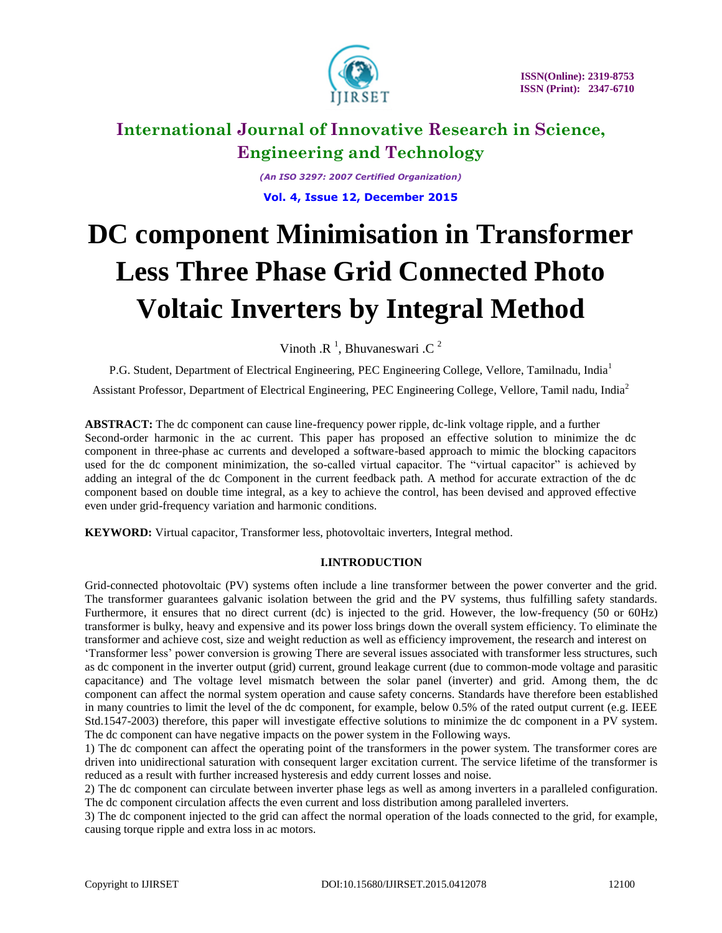

*(An ISO 3297: 2007 Certified Organization)* **Vol. 4, Issue 12, December 2015**

# **DC component Minimisation in Transformer Less Three Phase Grid Connected Photo Voltaic Inverters by Integral Method**

Vinoth .R<sup>1</sup>, Bhuvaneswari .C<sup>2</sup>

P.G. Student, Department of Electrical Engineering, PEC Engineering College, Vellore, Tamilnadu, India<sup>1</sup> Assistant Professor, Department of Electrical Engineering, PEC Engineering College, Vellore, Tamil nadu, India<sup>2</sup>

**ABSTRACT:** The dc component can cause line-frequency power ripple, dc-link voltage ripple, and a further Second-order harmonic in the ac current. This paper has proposed an effective solution to minimize the dc component in three-phase ac currents and developed a software-based approach to mimic the blocking capacitors used for the dc component minimization, the so-called virtual capacitor. The "virtual capacitor" is achieved by adding an integral of the dc Component in the current feedback path. A method for accurate extraction of the dc component based on double time integral, as a key to achieve the control, has been devised and approved effective even under grid-frequency variation and harmonic conditions.

**KEYWORD:** Virtual capacitor, Transformer less, photovoltaic inverters, Integral method.

# **I.INTRODUCTION**

Grid-connected photovoltaic (PV) systems often include a line transformer between the power converter and the grid. The transformer guarantees galvanic isolation between the grid and the PV systems, thus fulfilling safety standards. Furthermore, it ensures that no direct current (dc) is injected to the grid. However, the low-frequency (50 or 60Hz) transformer is bulky, heavy and expensive and its power loss brings down the overall system efficiency. To eliminate the transformer and achieve cost, size and weight reduction as well as efficiency improvement, the research and interest on

"Transformer less" power conversion is growing There are several issues associated with transformer less structures, such as dc component in the inverter output (grid) current, ground leakage current (due to common-mode voltage and parasitic capacitance) and The voltage level mismatch between the solar panel (inverter) and grid. Among them, the dc component can affect the normal system operation and cause safety concerns. Standards have therefore been established in many countries to limit the level of the dc component, for example, below 0.5% of the rated output current (e.g. IEEE Std.1547-2003) therefore, this paper will investigate effective solutions to minimize the dc component in a PV system. The dc component can have negative impacts on the power system in the Following ways.

1) The dc component can affect the operating point of the transformers in the power system. The transformer cores are driven into unidirectional saturation with consequent larger excitation current. The service lifetime of the transformer is reduced as a result with further increased hysteresis and eddy current losses and noise.

2) The dc component can circulate between inverter phase legs as well as among inverters in a paralleled configuration. The dc component circulation affects the even current and loss distribution among paralleled inverters.

3) The dc component injected to the grid can affect the normal operation of the loads connected to the grid, for example, causing torque ripple and extra loss in ac motors.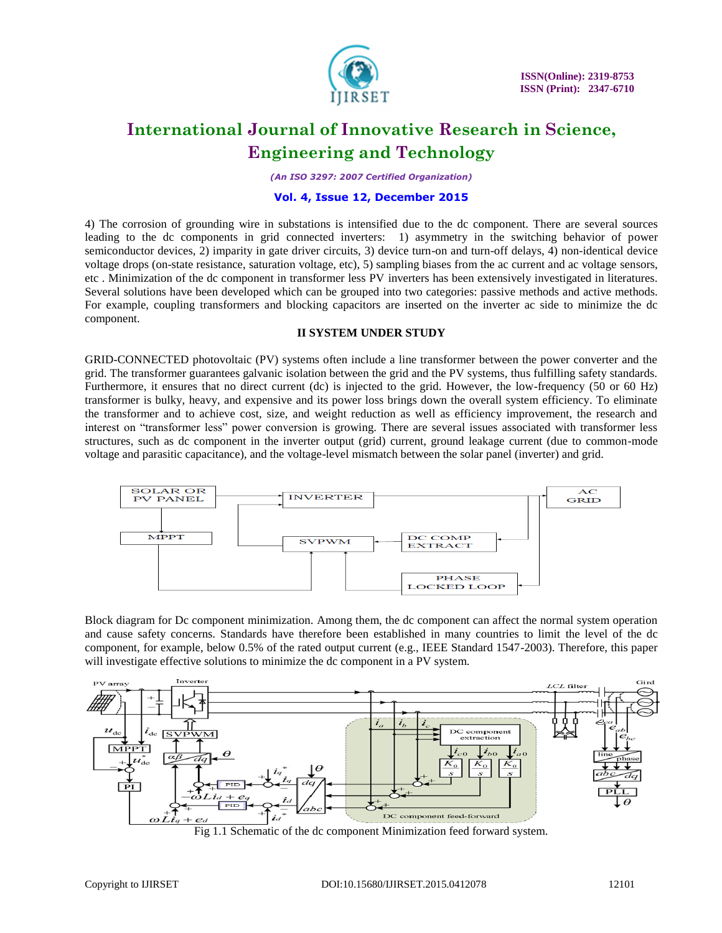

 **ISSN(Online): 2319-8753 ISSN (Print): 2347-6710** 

# **International Journal of Innovative Research in Science, Engineering and Technology**

*(An ISO 3297: 2007 Certified Organization)*

### **Vol. 4, Issue 12, December 2015**

4) The corrosion of grounding wire in substations is intensified due to the dc component. There are several sources leading to the dc components in grid connected inverters: 1) asymmetry in the switching behavior of power semiconductor devices, 2) imparity in gate driver circuits, 3) device turn-on and turn-off delays, 4) non-identical device voltage drops (on-state resistance, saturation voltage, etc), 5) sampling biases from the ac current and ac voltage sensors, etc . Minimization of the dc component in transformer less PV inverters has been extensively investigated in literatures. Several solutions have been developed which can be grouped into two categories: passive methods and active methods. For example, coupling transformers and blocking capacitors are inserted on the inverter ac side to minimize the dc component.

### **II SYSTEM UNDER STUDY**

GRID-CONNECTED photovoltaic (PV) systems often include a line transformer between the power converter and the grid. The transformer guarantees galvanic isolation between the grid and the PV systems, thus fulfilling safety standards. Furthermore, it ensures that no direct current (dc) is injected to the grid. However, the low-frequency (50 or 60 Hz) transformer is bulky, heavy, and expensive and its power loss brings down the overall system efficiency. To eliminate the transformer and to achieve cost, size, and weight reduction as well as efficiency improvement, the research and interest on "transformer less" power conversion is growing. There are several issues associated with transformer less structures, such as dc component in the inverter output (grid) current, ground leakage current (due to common-mode voltage and parasitic capacitance), and the voltage-level mismatch between the solar panel (inverter) and grid.



Block diagram for Dc component minimization. Among them, the dc component can affect the normal system operation and cause safety concerns. Standards have therefore been established in many countries to limit the level of the dc component, for example, below 0.5% of the rated output current (e.g., IEEE Standard 1547-2003). Therefore, this paper will investigate effective solutions to minimize the dc component in a PV system.



Fig 1.1 Schematic of the dc component Minimization feed forward system.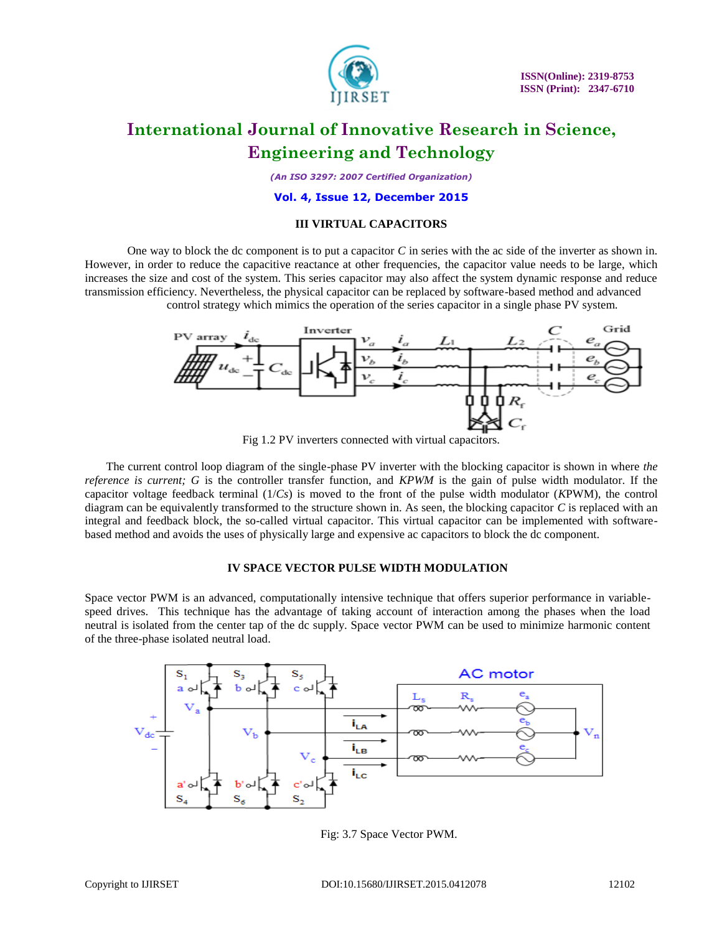

 **ISSN(Online): 2319-8753 ISSN (Print): 2347-6710** 

# **International Journal of Innovative Research in Science, Engineering and Technology**

*(An ISO 3297: 2007 Certified Organization)*

#### **Vol. 4, Issue 12, December 2015**

### **III VIRTUAL CAPACITORS**

One way to block the dc component is to put a capacitor *C* in series with the ac side of the inverter as shown in. However, in order to reduce the capacitive reactance at other frequencies, the capacitor value needs to be large, which increases the size and cost of the system. This series capacitor may also affect the system dynamic response and reduce transmission efficiency. Nevertheless, the physical capacitor can be replaced by software-based method and advanced control strategy which mimics the operation of the series capacitor in a single phase PV system.



Fig 1.2 PV inverters connected with virtual capacitors.

The current control loop diagram of the single-phase PV inverter with the blocking capacitor is shown in where *the reference is current; G* is the controller transfer function, and *KPWM* is the gain of pulse width modulator. If the capacitor voltage feedback terminal (1/*Cs*) is moved to the front of the pulse width modulator (*K*PWM), the control diagram can be equivalently transformed to the structure shown in. As seen, the blocking capacitor *C* is replaced with an integral and feedback block, the so-called virtual capacitor. This virtual capacitor can be implemented with softwarebased method and avoids the uses of physically large and expensive ac capacitors to block the dc component.

### **IV SPACE VECTOR PULSE WIDTH MODULATION**

Space vector PWM is an advanced, computationally intensive technique that offers superior performance in variablespeed drives. This technique has the advantage of taking account of interaction among the phases when the load neutral is isolated from the center tap of the dc supply. Space vector PWM can be used to minimize harmonic content of the three-phase isolated neutral load.



Fig: 3.7 Space Vector PWM.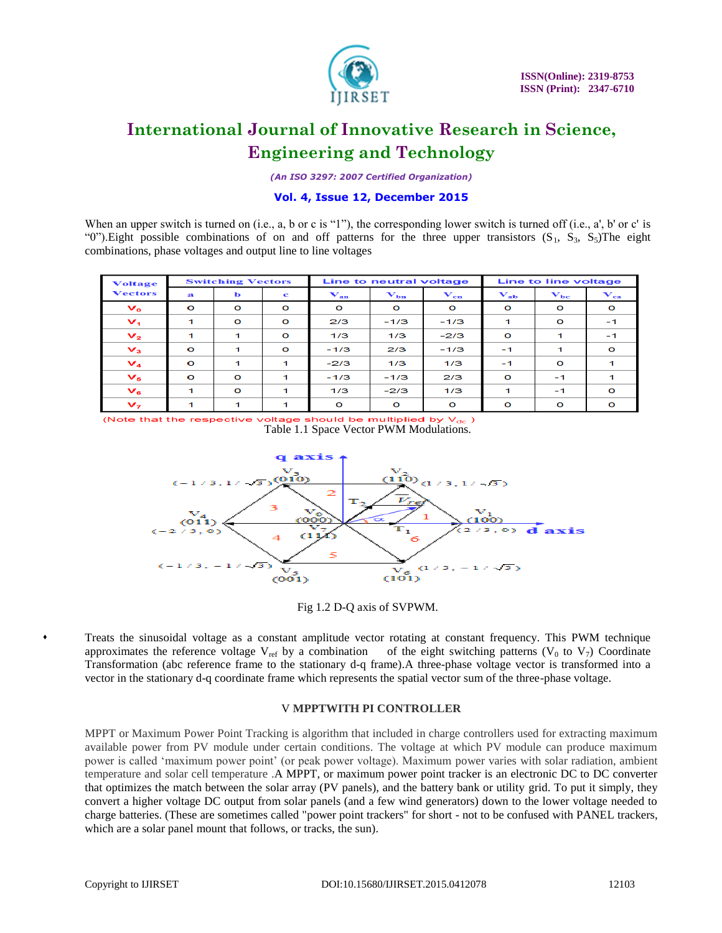

*(An ISO 3297: 2007 Certified Organization)*

# **Vol. 4, Issue 12, December 2015**

When an upper switch is turned on (i.e., a, b or c is "1"), the corresponding lower switch is turned off (i.e., a', b' or c' is "0").Eight possible combinations of on and off patterns for the three upper transistors  $(S_1, S_3, S_5)$ The eight combinations, phase voltages and output line to line voltages

| <b>Voltage</b><br><b>Vectors</b> | <b>Switching Vectors</b> |          |         | Line to neutral voltage             |                   |                                     | Line to line voltage                |                                     |                   |
|----------------------------------|--------------------------|----------|---------|-------------------------------------|-------------------|-------------------------------------|-------------------------------------|-------------------------------------|-------------------|
|                                  | $\mathbf{a}$             | ь        | c       | $\mathbf{V}_{\mathbf{a}\mathbf{n}}$ | $\mathbf{V_{bn}}$ | $\mathbf{v}_{\mathbf{c}\mathbf{n}}$ | $\mathbf{V}_{\mathbf{a}\mathbf{b}}$ | $\mathbf{v}_{\mathbf{b}\mathbf{c}}$ | $\mathbf{V}_{ca}$ |
| $\mathbf{v}_{\mathbf{o}}$        | $\Omega$                 | $\circ$  | $\circ$ | $\circ$                             | $\circ$           | $\circ$                             | $\circ$                             | $\circ$                             | $\mathbf{o}$      |
| $\mathbf{V}_4$                   | 1                        | $\circ$  | $\circ$ | 2/3                                 | $-1/3$            | $-1/3$                              | 1                                   | $\circ$                             | $-1$              |
| $\mathbf{v}_2$                   |                          | 1        | $\circ$ | 1/3                                 | 1/3               | $-2/3$                              | $\circ$                             | 1                                   | $-1$              |
| $V_{3}$                          | $\circ$                  | 1        | $\circ$ | $-1/3$                              | 2/3               | $-1/3$                              | $-1$                                | 1                                   | $\circ$           |
| $V_4$                            | $\Omega$                 | 1        | 1       | $-2/3$                              | 1/3               | 1/3                                 | $-1$                                | $\Omega$                            |                   |
| $V_{5}$                          | $\Omega$                 | $\circ$  | 1       | $-1/3$                              | $-1/3$            | 2/3                                 | $\circ$                             | $-1$                                | -1                |
| $V_{\rm s}$                      |                          | $\Omega$ | 1       | 1/3                                 | $-2/3$            | 1/3                                 |                                     | $-1$                                | $\Omega$          |
| $V_7$                            |                          | 1        | 1       | $\mathbf{o}$                        | $\circ$           | $\bullet$                           | $\circ$                             | $\circ$                             | $\circ$           |

(Note that the respective voltage should be multiplied by  $V_{dc}$  ) Table 1.1 Space Vector PWM Modulations.



Fig 1.2 D-Q axis of SVPWM.

 Treats the sinusoidal voltage as a constant amplitude vector rotating at constant frequency. This PWM technique approximates the reference voltage  $V_{ref}$  by a combination of the eight switching patterns (V<sub>0</sub> to V<sub>7</sub>) Coordinate Transformation (abc reference frame to the stationary d-q frame).A three-phase voltage vector is transformed into a vector in the stationary d-q coordinate frame which represents the spatial vector sum of the three-phase voltage.

### V **MPPTWITH PI CONTROLLER**

MPPT or Maximum Power Point Tracking is algorithm that included in charge controllers used for extracting maximum available power from PV module under certain conditions. The voltage at which PV module can produce maximum power is called "maximum power point" (or peak power voltage). Maximum power varies with solar radiation, ambient temperature and solar cell temperature .A MPPT, or maximum power point tracker is an electronic DC to DC converter that optimizes the match between the solar array (PV panels), and the battery bank or utility grid. To put it simply, they convert a higher voltage DC output from solar panels (and a few wind generators) down to the lower voltage needed to charge batteries. (These are sometimes called "power point trackers" for short - not to be confused with PANEL trackers, which are a solar panel mount that follows, or tracks, the sun).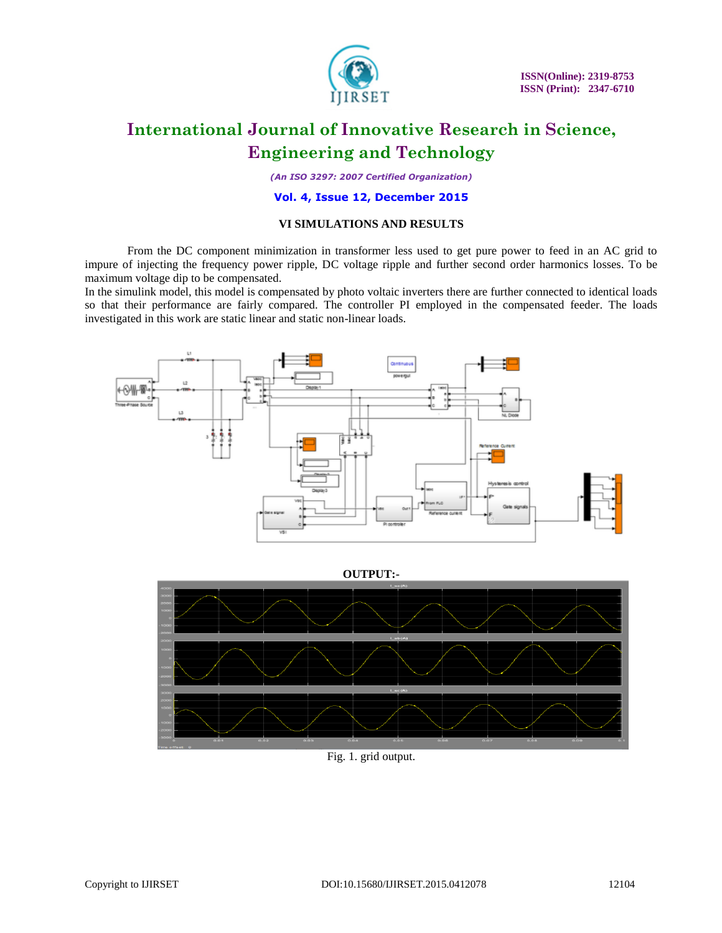

 **ISSN(Online): 2319-8753 ISSN (Print): 2347-6710** 

# **International Journal of Innovative Research in Science, Engineering and Technology**

*(An ISO 3297: 2007 Certified Organization)*

### **Vol. 4, Issue 12, December 2015**

### **VI SIMULATIONS AND RESULTS**

From the DC component minimization in transformer less used to get pure power to feed in an AC grid to impure of injecting the frequency power ripple, DC voltage ripple and further second order harmonics losses. To be maximum voltage dip to be compensated.

In the simulink model, this model is compensated by photo voltaic inverters there are further connected to identical loads so that their performance are fairly compared. The controller PI employed in the compensated feeder. The loads investigated in this work are static linear and static non-linear loads.



**OUTPUT:-**



Fig. 1. grid output.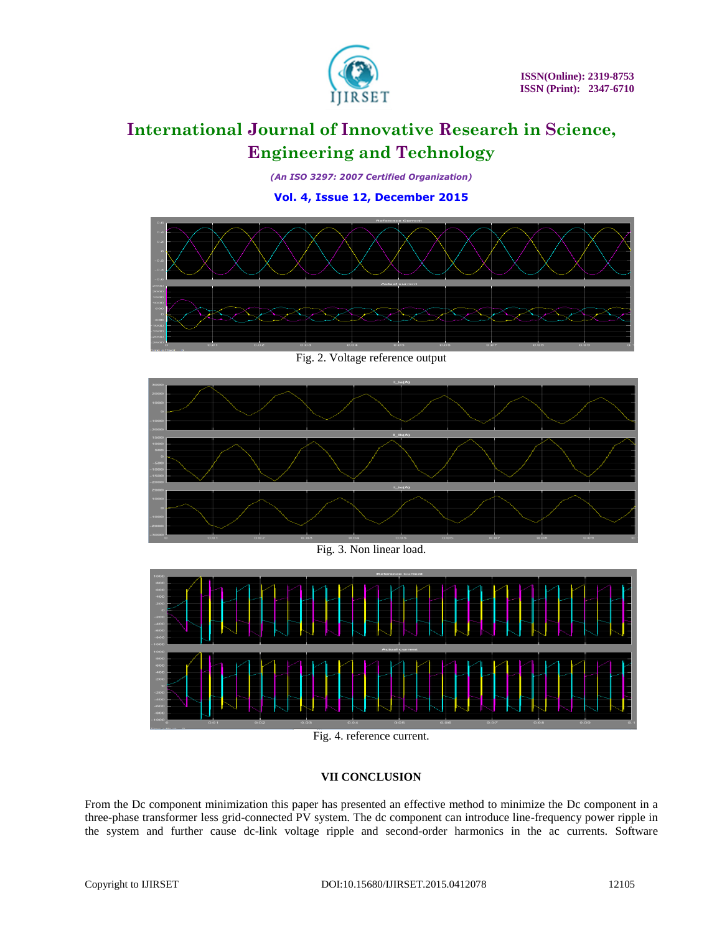

*(An ISO 3297: 2007 Certified Organization)*

**Vol. 4, Issue 12, December 2015**



Fig. 2. Voltage reference output



Fig. 3. Non linear load.



Fig. 4. reference current.

# **VII CONCLUSION**

From the Dc component minimization this paper has presented an effective method to minimize the Dc component in a three-phase transformer less grid-connected PV system. The dc component can introduce line-frequency power ripple in the system and further cause dc-link voltage ripple and second-order harmonics in the ac currents. Software